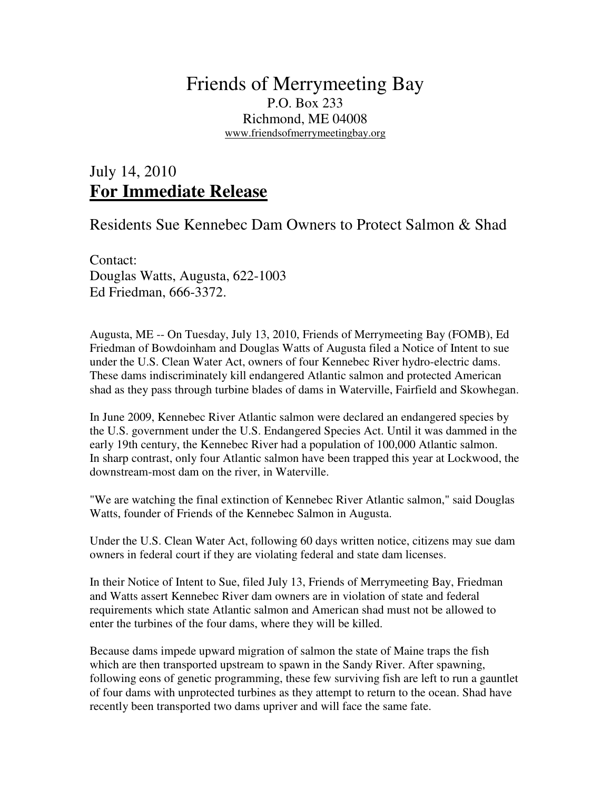## Friends of Merrymeeting Bay P.O. Box 233 Richmond, ME 04008 www.friendsofmerrymeetingbay.org

## July 14, 2010 **For Immediate Release**

## Residents Sue Kennebec Dam Owners to Protect Salmon & Shad

Contact: Douglas Watts, Augusta, 622-1003 Ed Friedman, 666-3372.

Augusta, ME -- On Tuesday, July 13, 2010, Friends of Merrymeeting Bay (FOMB), Ed Friedman of Bowdoinham and Douglas Watts of Augusta filed a Notice of Intent to sue under the U.S. Clean Water Act, owners of four Kennebec River hydro-electric dams. These dams indiscriminately kill endangered Atlantic salmon and protected American shad as they pass through turbine blades of dams in Waterville, Fairfield and Skowhegan.

In June 2009, Kennebec River Atlantic salmon were declared an endangered species by the U.S. government under the U.S. Endangered Species Act. Until it was dammed in the early 19th century, the Kennebec River had a population of 100,000 Atlantic salmon. In sharp contrast, only four Atlantic salmon have been trapped this year at Lockwood, the downstream-most dam on the river, in Waterville.

"We are watching the final extinction of Kennebec River Atlantic salmon," said Douglas Watts, founder of Friends of the Kennebec Salmon in Augusta.

Under the U.S. Clean Water Act, following 60 days written notice, citizens may sue dam owners in federal court if they are violating federal and state dam licenses.

In their Notice of Intent to Sue, filed July 13, Friends of Merrymeeting Bay, Friedman and Watts assert Kennebec River dam owners are in violation of state and federal requirements which state Atlantic salmon and American shad must not be allowed to enter the turbines of the four dams, where they will be killed.

Because dams impede upward migration of salmon the state of Maine traps the fish which are then transported upstream to spawn in the Sandy River. After spawning, following eons of genetic programming, these few surviving fish are left to run a gauntlet of four dams with unprotected turbines as they attempt to return to the ocean. Shad have recently been transported two dams upriver and will face the same fate.